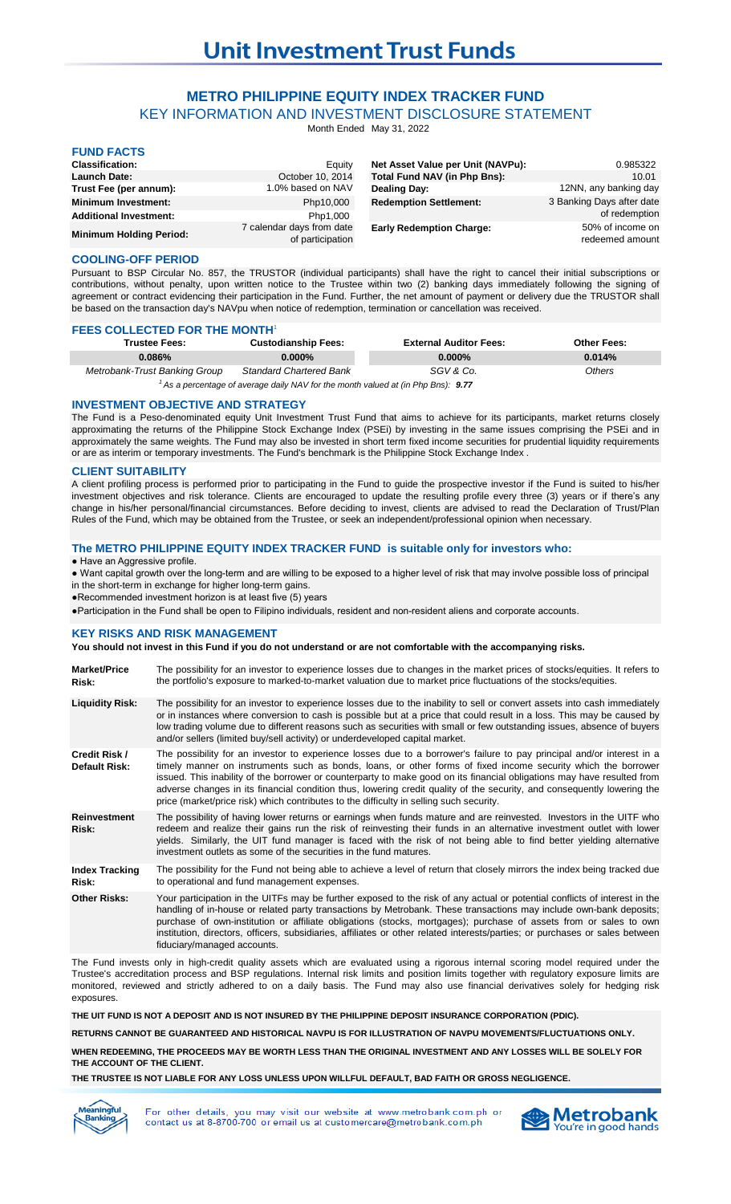## **METRO PHILIPPINE EQUITY INDEX TRACKER FUND**

KEY INFORMATION AND INVESTMENT DISCLOSURE STATEMENT

Month Ended May 31, 2022

| <b>FUND FACTS</b>              |                                               |                                     |                                     |
|--------------------------------|-----------------------------------------------|-------------------------------------|-------------------------------------|
| <b>Classification:</b>         | Equity                                        | Net Asset Value per Unit (NAVPu):   | 0.985322                            |
| <b>Launch Date:</b>            | October 10, 2014                              | <b>Total Fund NAV (in Php Bns):</b> | 10.01                               |
| Trust Fee (per annum):         | 1.0% based on NAV                             | <b>Dealing Day:</b>                 | 12NN, any banking day               |
| <b>Minimum Investment:</b>     | Php10,000                                     | <b>Redemption Settlement:</b>       | 3 Banking Days after date           |
| <b>Additional Investment:</b>  | Php1,000                                      |                                     | of redemption                       |
| <b>Minimum Holding Period:</b> | 7 calendar days from date<br>of participation | <b>Early Redemption Charge:</b>     | 50% of income on<br>redeemed amount |

#### **COOLING-OFF PERIOD**

Pursuant to BSP Circular No. 857, the TRUSTOR (individual participants) shall have the right to cancel their initial subscriptions or contributions, without penalty, upon written notice to the Trustee within two (2) banking days immediately following the signing of agreement or contract evidencing their participation in the Fund. Further, the net amount of payment or delivery due the TRUSTOR shall be based on the transaction day's NAVpu when notice of redemption, termination or cancellation was received.

| <b>FEES GULLEGTED FUR THE MUNTH</b> |                                |                               |                    |  |
|-------------------------------------|--------------------------------|-------------------------------|--------------------|--|
| <b>Trustee Fees:</b>                | <b>Custodianship Fees:</b>     | <b>External Auditor Fees:</b> | <b>Other Fees:</b> |  |
| $0.086\%$                           | 0.000%                         | $0.000\%$                     | 0.014%             |  |
| Metrobank-Trust Banking Group       | <b>Standard Chartered Bank</b> | SGV & Co.                     | Others             |  |
|                                     |                                |                               |                    |  |

<sup>1</sup> As a percentage of average daily NAV for the month valued at (in Php Bns): 9.77

#### **INVESTMENT OBJECTIVE AND STRATEGY**

**FEES COLLECTED FOR THE MONTH**<sup>1</sup>

The Fund is a Peso-denominated equity Unit Investment Trust Fund that aims to achieve for its participants, market returns closely approximating the returns of the Philippine Stock Exchange Index (PSEi) by investing in the same issues comprising the PSEi and in approximately the same weights. The Fund may also be invested in short term fixed income securities for prudential liquidity requirements or are as interim or temporary investments. The Fund's benchmark is the Philippine Stock Exchange Index .

#### **CLIENT SUITABILITY**

A client profiling process is performed prior to participating in the Fund to guide the prospective investor if the Fund is suited to his/her investment objectives and risk tolerance. Clients are encouraged to update the resulting profile every three (3) years or if there's any change in his/her personal/financial circumstances. Before deciding to invest, clients are advised to read the Declaration of Trust/Plan Rules of the Fund, which may be obtained from the Trustee, or seek an independent/professional opinion when necessary.

#### **The METRO PHILIPPINE EQUITY INDEX TRACKER FUND is suitable only for investors who:**

● Have an Aggressive profile.

● Want capital growth over the long-term and are willing to be exposed to a higher level of risk that may involve possible loss of principal in the short-term in exchange for higher long-term gains.

●Recommended investment horizon is at least five (5) years

●Participation in the Fund shall be open to Filipino individuals, resident and non-resident aliens and corporate accounts.

#### **KEY RISKS AND RISK MANAGEMENT**

### **You should not invest in this Fund if you do not understand or are not comfortable with the accompanying risks.**

| <b>Market/Price</b><br>Risk:   | The possibility for an investor to experience losses due to changes in the market prices of stocks/equities. It refers to<br>the portfolio's exposure to marked-to-market valuation due to market price fluctuations of the stocks/equities.                                                                                                                                                                                                                                                                                                                                             |
|--------------------------------|------------------------------------------------------------------------------------------------------------------------------------------------------------------------------------------------------------------------------------------------------------------------------------------------------------------------------------------------------------------------------------------------------------------------------------------------------------------------------------------------------------------------------------------------------------------------------------------|
| <b>Liquidity Risk:</b>         | The possibility for an investor to experience losses due to the inability to sell or convert assets into cash immediately<br>or in instances where conversion to cash is possible but at a price that could result in a loss. This may be caused by<br>low trading volume due to different reasons such as securities with small or few outstanding issues, absence of buyers<br>and/or sellers (limited buy/sell activity) or underdeveloped capital market.                                                                                                                            |
| Credit Risk /<br>Default Risk: | The possibility for an investor to experience losses due to a borrower's failure to pay principal and/or interest in a<br>timely manner on instruments such as bonds, loans, or other forms of fixed income security which the borrower<br>issued. This inability of the borrower or counterparty to make good on its financial obligations may have resulted from<br>adverse changes in its financial condition thus, lowering credit quality of the security, and consequently lowering the<br>price (market/price risk) which contributes to the difficulty in selling such security. |
| <b>Reinvestment</b><br>Risk:   | The possibility of having lower returns or earnings when funds mature and are reinvested. Investors in the UITF who<br>redeem and realize their gains run the risk of reinvesting their funds in an alternative investment outlet with lower<br>yields. Similarly, the UIT fund manager is faced with the risk of not being able to find better yielding alternative<br>investment outlets as some of the securities in the fund matures.                                                                                                                                                |
| <b>Index Tracking</b><br>Risk: | The possibility for the Fund not being able to achieve a level of return that closely mirrors the index being tracked due<br>to operational and fund management expenses.                                                                                                                                                                                                                                                                                                                                                                                                                |
| <b>Other Risks:</b>            | Your participation in the UITFs may be further exposed to the risk of any actual or potential conflicts of interest in the<br>handling of in-house or related party transactions by Metrobank. These transactions may include own-bank deposits;<br>purchase of own-institution or affiliate obligations (stocks, mortgages); purchase of assets from or sales to own<br>institution, directors, officers, subsidiaries, affiliates or other related interests/parties; or purchases or sales between<br>fiduciary/managed accounts.                                                     |

The Fund invests only in high-credit quality assets which are evaluated using a rigorous internal scoring model required under the Trustee's accreditation process and BSP regulations. Internal risk limits and position limits together with regulatory exposure limits are monitored, reviewed and strictly adhered to on a daily basis. The Fund may also use financial derivatives solely for hedging risk exposures.

**THE UIT FUND IS NOT A DEPOSIT AND IS NOT INSURED BY THE PHILIPPINE DEPOSIT INSURANCE CORPORATION (PDIC).**

**RETURNS CANNOT BE GUARANTEED AND HISTORICAL NAVPU IS FOR ILLUSTRATION OF NAVPU MOVEMENTS/FLUCTUATIONS ONLY.**

**WHEN REDEEMING, THE PROCEEDS MAY BE WORTH LESS THAN THE ORIGINAL INVESTMENT AND ANY LOSSES WILL BE SOLELY FOR THE ACCOUNT OF THE CLIENT.**

**THE TRUSTEE IS NOT LIABLE FOR ANY LOSS UNLESS UPON WILLFUL DEFAULT, BAD FAITH OR GROSS NEGLIGENCE.**



For other details, you may visit our website at www.metrobank.com.ph or contact us at 8-8700-700 or email us at customercare@metrobank.com.ph

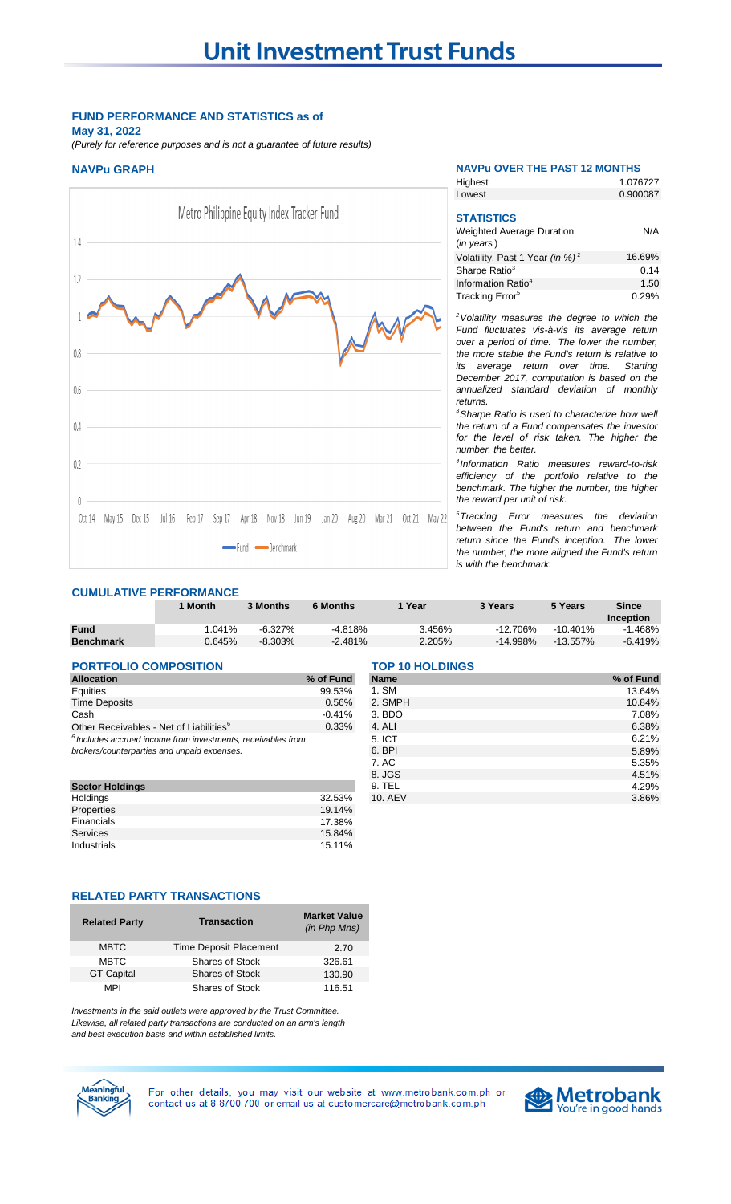#### **FUND PERFORMANCE AND STATISTICS as of May 31, 2022**

*(Purely for reference purposes and is not a guarantee of future results)*



#### **NAVPu GRAPH NAVPu OVER THE PAST 12 MONTHS**

**Highest** 

1.076727

| Lowest                                                                        | 0.900087 |
|-------------------------------------------------------------------------------|----------|
| <b>STATISTICS</b><br><b>Weighted Average Duration</b><br>$(in \text{ years})$ | N/A      |
| Volatility, Past 1 Year (in %) <sup>2</sup>                                   | 16.69%   |
| Sharpe Ratio <sup>3</sup>                                                     | 0.14     |
| Information Ratio <sup>4</sup>                                                | 1.50     |
| Tracking Error <sup>5</sup>                                                   | 0.29%    |

*<sup>2</sup>Volatility measures the degree to which the Fund fluctuates vis-à-vis its average return over a period of time. The lower the number, the more stable the Fund's return is relative to its average return over time. Starting December 2017, computation is based on the annualized standard deviation of monthly returns.* 

*<sup>3</sup>Sharpe Ratio is used to characterize how well the return of a Fund compensates the investor for the level of risk taken. The higher the number, the better.*

*4 Information Ratio measures reward-to-risk efficiency of the portfolio relative to the benchmark. The higher the number, the higher the reward per unit of risk.*

*<sup>5</sup>Tracking Error measures the deviation between the Fund's return and benchmark return since the Fund's inception. The lower the number, the more aligned the Fund's return is with the benchmark.* 

### **CUMULATIVE PERFORMANCE**

|                  | 1 Month          | 3 Months   | <b>6 Months</b> | Year   | 3 Years     | 5 Years     | <b>Since</b>     |
|------------------|------------------|------------|-----------------|--------|-------------|-------------|------------------|
|                  |                  |            |                 |        |             |             | <b>Inception</b> |
| <b>Fund</b>      | $^{\circ}$ .041% | $-6.327\%$ | $-4.818%$       | 3.456% | $-12.706\%$ | $-10.401\%$ | .468%            |
| <b>Benchmark</b> | 0.645%           | $-8.303\%$ | $-2.481%$       | 2.205% | $-14.998\%$ | $-13.557\%$ | $-6.419%$        |

# **PORTFOLIO COMPOSITION** TOP 10 HOLDINGS<br>Allocation 29 of Fund Name

**Sector Holdings** 9. Telecomponent and 22.53% 9.<br>Telecomponent and 22.53% 9. Telecomponent and 22.53% 9. Telecomponent and 22.53% 9. Telecomponent and 22.53% 9. Properties 19.14% and 19.14% and 19.14% and 19.14% and 19.14% and 19.14% and 19.14% and 17.38% and 17.38% and 1 **Financials** Services 15.84% Industrials 15.11%

| <b>Allocation</b>                                              | % of Fund                       | <b>Name</b> | % of Fund |
|----------------------------------------------------------------|---------------------------------|-------------|-----------|
| Equities                                                       | 99.53%                          | 1. SM       | 13.64%    |
| <b>Time Deposits</b>                                           | 0.56%                           | 2. SMPH     | 10.84%    |
| Cash                                                           | $-0.41%$                        | 3. BDO      | 7.08%     |
| Other Receivables - Net of Liabilities <sup>6</sup>            | 0.33%                           | 4. ALI      | 6.38%     |
| $6$ Includes accrued income from investments, receivables from |                                 | 5. ICT      | 6.21%     |
| brokers/counterparties and unpaid expenses.                    |                                 | 6. BPI      | 5.89%     |
|                                                                |                                 | 7. AC       | 5.35%     |
|                                                                |                                 | 8. JGS      | 4.51%     |
| <b>Sector Holdings</b>                                         |                                 | 9. TEL      | 4.29%     |
| Holdings                                                       | 32.53%                          | 10. AEV     | 3.86%     |
| Document of the state of the state                             | $\overline{10}$ $\overline{10}$ |             |           |

#### **RELATED PARTY TRANSACTIONS**

| <b>Related Party</b> | <b>Transaction</b>            | <b>Market Value</b><br>(in Php Mns) |
|----------------------|-------------------------------|-------------------------------------|
| <b>MBTC</b>          | <b>Time Deposit Placement</b> | 2.70                                |
| <b>MBTC</b>          | <b>Shares of Stock</b>        | 326.61                              |
| <b>GT Capital</b>    | <b>Shares of Stock</b>        | 130.90                              |
| MPI                  | Shares of Stock               | 116.51                              |

*Investments in the said outlets were approved by the Trust Committee. Likewise, all related party transactions are conducted on an arm's length and best execution basis and within established limits.*



For other details, you may visit our website at www.metrobank.com.ph or contact us at 8-8700-700 or email us at customercare@metrobank.com.ph